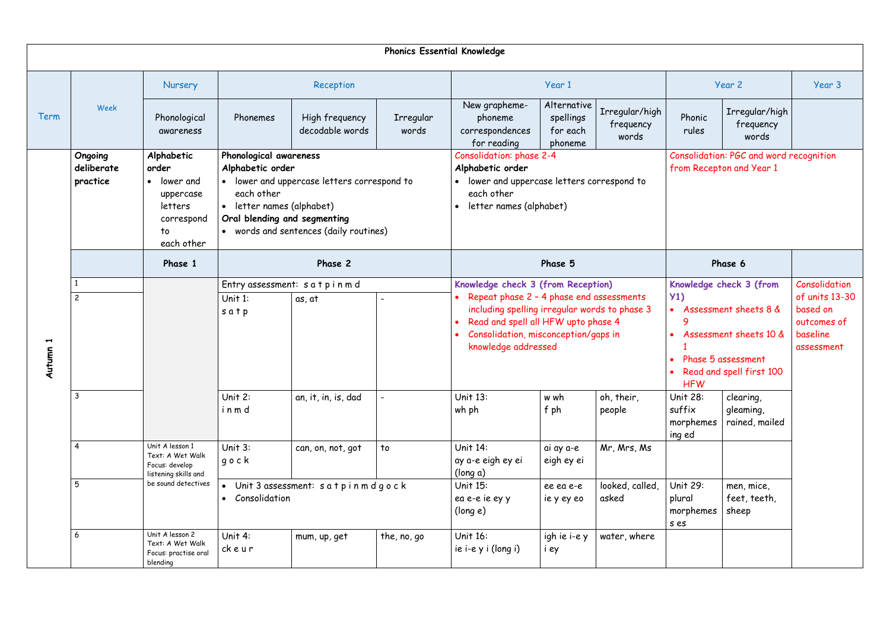|                                            | <b>Phonics Essential Knowledge</b> |                                                                                              |                                                                                                                                                                                                                         |                                   |                    |                                                                                                                                                                                                                                       |                                                 |                                      |                                                                                                                                                     |                                          |                                                                                      |
|--------------------------------------------|------------------------------------|----------------------------------------------------------------------------------------------|-------------------------------------------------------------------------------------------------------------------------------------------------------------------------------------------------------------------------|-----------------------------------|--------------------|---------------------------------------------------------------------------------------------------------------------------------------------------------------------------------------------------------------------------------------|-------------------------------------------------|--------------------------------------|-----------------------------------------------------------------------------------------------------------------------------------------------------|------------------------------------------|--------------------------------------------------------------------------------------|
|                                            |                                    | Nursery                                                                                      | Reception                                                                                                                                                                                                               |                                   | Year 1             |                                                                                                                                                                                                                                       |                                                 | Year 2                               |                                                                                                                                                     | Year 3                                   |                                                                                      |
| Term                                       | Week                               | Phonological<br>awareness                                                                    | Phonemes                                                                                                                                                                                                                | High frequency<br>decodable words | Irregular<br>words | New grapheme-<br>phoneme<br>correspondences<br>for reading                                                                                                                                                                            | Alternative<br>spellings<br>for each<br>phoneme | Irregular/high<br>frequency<br>words | Phonic<br>rules                                                                                                                                     | Irregular/high<br>frequency<br>words     |                                                                                      |
| $\blacktriangleright$<br><b>utumn</b><br>⋖ | Ongoing<br>deliberate<br>practice  | Alphabetic<br>order<br>• lower and<br>uppercase<br>letters<br>correspond<br>to<br>each other | Phonological awareness<br>Alphabetic order<br>lower and uppercase letters correspond to<br>each other<br>letter names (alphabet)<br>$\bullet$<br>Oral blending and segmenting<br>• words and sentences (daily routines) |                                   |                    | <b>Consolidation: phase 2-4</b><br>Alphabetic order<br>lower and uppercase letters correspond to<br>each other<br>letter names (alphabet)                                                                                             |                                                 |                                      | Consolidation: PGC and word recognition<br>from Recepton and Year 1                                                                                 |                                          |                                                                                      |
|                                            |                                    | Phase 1                                                                                      | Phase 2<br>Phase 5                                                                                                                                                                                                      |                                   |                    |                                                                                                                                                                                                                                       | Phase 6                                         |                                      |                                                                                                                                                     |                                          |                                                                                      |
|                                            | $\overline{c}$                     |                                                                                              | Entry assessment: satpinmd<br>Unit $1:$<br>as, at<br>satp                                                                                                                                                               |                                   |                    | Knowledge check 3 (from Reception)<br>Repeat phase 2 - 4 phase end assessments<br>including spelling irregular words to phase 3<br>Read and spell all HFW upto phase 4<br>Consolidation, misconception/gaps in<br>knowledge addressed |                                                 |                                      | Knowledge check 3 (from<br>Y1)<br>• Assessment sheets 8 &<br>Assessment sheets 10 &<br>Phase 5 assessment<br>Read and spell first 100<br><b>HFW</b> |                                          | Consolidation<br>of units 13-30<br>based on<br>outcomes of<br>baseline<br>assessment |
|                                            | $\mathbf{3}$                       |                                                                                              | Unit $2$ :<br>inmd                                                                                                                                                                                                      | an, it, in, is, dad               |                    | Unit 13:<br>wh ph                                                                                                                                                                                                                     | w wh<br>f ph                                    | oh, their,<br>people                 | Unit 28:<br>suffix<br>morphemes<br>ing ed                                                                                                           | clearing,<br>gleaming,<br>rained, mailed |                                                                                      |
|                                            | $\overline{4}$                     | Unit A lesson 1<br>Text: A Wet Walk<br>Focus: develop<br>listening skills and                | Unit 3:<br>gock                                                                                                                                                                                                         | can, on, not, got                 | to                 | Unit 14:<br>ay a-e eigh ey ei<br>(long a)                                                                                                                                                                                             | ai ay a-e<br>eigh ey ei                         | Mr, Mrs, Ms                          |                                                                                                                                                     |                                          |                                                                                      |
|                                            | 5                                  | be sound detectives                                                                          | Consolidation<br>$\bullet$                                                                                                                                                                                              | Unit 3 assessment: satpinmdgock   |                    | Unit 15:<br>looked, called,<br>ee ea e-e<br>ea e-e ie ey y<br>asked<br>ie y ey eo<br>(long e)                                                                                                                                         |                                                 |                                      | Unit 29:<br>plural<br>morphemes<br>s es                                                                                                             | men, mice,<br>feet, teeth,<br>sheep      |                                                                                      |
|                                            | 6                                  | Unit A lesson 2<br>Text: A Wet Walk<br>Focus: practise oral<br>blending                      | Unit 4:<br>ckeur                                                                                                                                                                                                        | mum, up, get                      | the, no, go        | Unit 16:<br>ie i-e y i (long i)                                                                                                                                                                                                       | igh ie i-e y<br>i ey                            | water, where                         |                                                                                                                                                     |                                          |                                                                                      |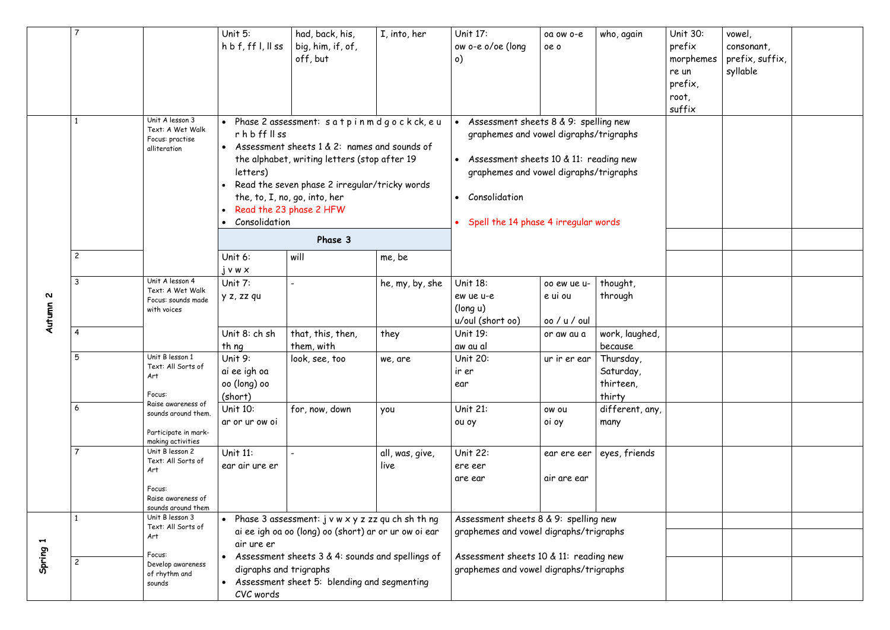|                                     | 7                                                                                        |                                                                                                    | Unit $5:$<br>$h\,b\,f, ff\,l, ll$ ss                                                                                                                                                                                                                                                                                                    | had, back, his,<br>big, him, if, of,<br>off, but | I, into, her            | Unit 17:<br>ow o-e o/oe (long<br>$\circ)$                                                                                                                                                                                                    | oa ow o-e<br>oe o                      | who, again                                    | <b>Unit 30:</b><br>prefix<br>morphemes<br>re un<br>prefix,<br>root,<br>suffix | vowel,<br>consonant,<br>prefix, suffix,<br>syllable |  |
|-------------------------------------|------------------------------------------------------------------------------------------|----------------------------------------------------------------------------------------------------|-----------------------------------------------------------------------------------------------------------------------------------------------------------------------------------------------------------------------------------------------------------------------------------------------------------------------------------------|--------------------------------------------------|-------------------------|----------------------------------------------------------------------------------------------------------------------------------------------------------------------------------------------------------------------------------------------|----------------------------------------|-----------------------------------------------|-------------------------------------------------------------------------------|-----------------------------------------------------|--|
| $\boldsymbol{\mathsf{N}}$<br>Autumn | Unit A lesson 3<br>Text: A Wet Walk<br>Focus: practise<br>alliteration<br>$\overline{c}$ |                                                                                                    | Phase 2 assessment: s a t p i n m d g o c k ck, e u<br>$r$ h b ff $\parallel$ ss<br>Assessment sheets 1 & 2: names and sounds of<br>the alphabet, writing letters (stop after 19<br>letters)<br>Read the seven phase 2 irregular/tricky words<br>the, to, I, no, go, into, her<br>Read the 23 phase 2 HFW<br>Consolidation<br>$\bullet$ |                                                  |                         | Assessment sheets 8 & 9: spelling new<br>graphemes and vowel digraphs/trigraphs<br>Assessment sheets 10 $\&$ 11: reading new<br>graphemes and vowel digraphs/trigraphs<br>Consolidation<br>$\bullet$<br>Spell the 14 phase 4 irregular words |                                        |                                               |                                                                               |                                                     |  |
|                                     |                                                                                          | Unit 6:                                                                                            | Phase 3<br>will                                                                                                                                                                                                                                                                                                                         | me, be                                           |                         |                                                                                                                                                                                                                                              |                                        |                                               |                                                                               |                                                     |  |
|                                     | $\mathbf{3}$                                                                             | Unit A lesson 4<br>Text: A Wet Walk<br>Focus: sounds made<br>with voices                           | $j$ v w $x$<br>Unit $7:$<br>y z, zz qu                                                                                                                                                                                                                                                                                                  |                                                  | he, my, by, she         | <b>Unit 18:</b><br>ew ue u-e<br>(long u)<br>u/oul (short oo)                                                                                                                                                                                 | 00 ew ue u-<br>e ui ou<br>oo / u / oul | thought,<br>through                           |                                                                               |                                                     |  |
|                                     | -4                                                                                       |                                                                                                    | Unit 8: ch sh<br>th ng                                                                                                                                                                                                                                                                                                                  | that, this, then,<br>them, with                  | they                    | Unit 19:<br>aw au al                                                                                                                                                                                                                         | or aw au a                             | work, laughed,<br>because                     |                                                                               |                                                     |  |
|                                     | 5                                                                                        | Unit B lesson 1<br>Text: All Sorts of<br>Art<br>Focus:                                             | Unit 9:<br>ai ee igh oa<br>oo (long) oo<br>(short)                                                                                                                                                                                                                                                                                      | look, see, too                                   | we, are                 | Unit 20:<br>ir er<br>ear                                                                                                                                                                                                                     | ur ir er ear                           | Thursday,<br>Saturday,<br>thirteen,<br>thirty |                                                                               |                                                     |  |
|                                     | 6                                                                                        | Raise awareness of<br>sounds around them.<br>Participate in mark-<br>making activities             | Unit 10:<br>ar or ur ow oi                                                                                                                                                                                                                                                                                                              | for, now, down                                   | you                     | <b>Unit 21:</b><br>ou oy                                                                                                                                                                                                                     | ow ou<br>oi oy                         | different, any,<br>many                       |                                                                               |                                                     |  |
|                                     |                                                                                          | Unit B lesson 2<br>Text: All Sorts of<br>Art<br>Focus:<br>Raise awareness of<br>sounds around them | Unit 11:<br>ear air ure er                                                                                                                                                                                                                                                                                                              |                                                  | all, was, give,<br>live | <b>Unit 22:</b><br>ere eer<br>are ear                                                                                                                                                                                                        | ear ere eer<br>air are ear             | eyes, friends                                 |                                                                               |                                                     |  |
| $\blacktriangleright$<br>Spring     |                                                                                          | Unit B lesson 3<br>Text: All Sorts of<br>Art                                                       | Phase 3 assessment: $j \vee w \times y$ z zz qu ch sh th ng<br>$\bullet$<br>ai ee igh oa oo (long) oo (short) ar or ur ow oi ear<br>air ure er                                                                                                                                                                                          |                                                  |                         | Assessment sheets 8 & 9: spelling new<br>graphemes and vowel digraphs/trigraphs                                                                                                                                                              |                                        |                                               |                                                                               |                                                     |  |
|                                     | $\overline{c}$                                                                           | Focus:<br>Develop awareness<br>of rhythm and<br>sounds                                             | Assessment sheets 3 & 4: sounds and spellings of<br>digraphs and trigraphs<br>Assessment sheet 5: blending and segmenting<br>CVC words                                                                                                                                                                                                  |                                                  |                         | Assessment sheets 10 & 11: reading new<br>graphemes and vowel digraphs/trigraphs                                                                                                                                                             |                                        |                                               |                                                                               |                                                     |  |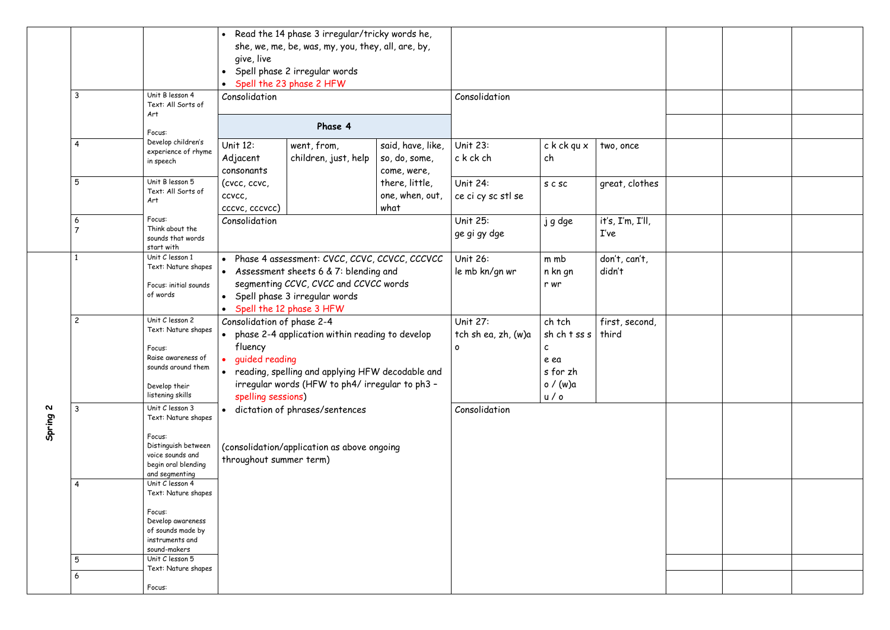|                                     | Unit B lesson 4<br>3<br>Art                                                      | Text: All Sorts of                                                                                           | Read the 14 phase 3 irregular/tricky words he,<br>$\bullet$<br>she, we, me, be, was, my, you, they, all, are, by,<br>give, live<br>Spell phase 2 irregular words<br>Spell the 23 phase 2 HFW<br>Consolidation                             |                                                   | Consolidation                                                                               |                                |                          |  |  |
|-------------------------------------|----------------------------------------------------------------------------------|--------------------------------------------------------------------------------------------------------------|-------------------------------------------------------------------------------------------------------------------------------------------------------------------------------------------------------------------------------------------|---------------------------------------------------|---------------------------------------------------------------------------------------------|--------------------------------|--------------------------|--|--|
|                                     | Focus:                                                                           |                                                                                                              | Phase 4                                                                                                                                                                                                                                   |                                                   |                                                                                             |                                |                          |  |  |
|                                     | Develop children's<br>4<br>experience of rhyme<br>in speech                      |                                                                                                              | Unit 12:<br>went, from,<br>children, just, help<br>Adjacent<br>consonants<br>(cvcc, ccvc,<br>ccvcc,<br>cccvc, cccvcc)                                                                                                                     | said, have, like,<br>so, do, some,<br>come, were, | <b>Unit 23:</b><br>c k ck ch                                                                | c k ck qu x<br>two, once<br>ch |                          |  |  |
|                                     | Unit B lesson 5<br>5<br>Art                                                      | Text: All Sorts of                                                                                           |                                                                                                                                                                                                                                           | there, little,<br>one, when, out,<br>what         | Unit 24:<br>ce ci cy sc stl se                                                              | S C SC                         | great, clothes           |  |  |
|                                     | Focus:<br>6<br>start with                                                        | Think about the<br>sounds that words                                                                         | Consolidation                                                                                                                                                                                                                             |                                                   | <b>Unit 25:</b><br>ge gi gy dge                                                             | j g dge                        | it's, I'm, I'll,<br>I've |  |  |
| $\boldsymbol{\mathsf{N}}$<br>Spring | Unit C lesson 1<br>of words                                                      | Text: Nature shapes<br>Focus: initial sounds                                                                 | • Phase 4 assessment: CVCC, CCVC, CCVCC, CCCVCC<br>Assessment sheets 6 & 7: blending and<br>segmenting CCVC, CVCC and CCVCC words<br>Spell phase 3 irregular words<br>$\bullet$<br>• Spell the 12 phase 3 HFW                             |                                                   | <b>Unit 26:</b><br>le mb kn/gn wr                                                           | m mb<br>n kn gn<br>r wr        | don't, can't,<br>didn't  |  |  |
|                                     | Unit C lesson 2<br>$\overline{c}$<br>Focus:<br>Develop their<br>listening skills | Text: Nature shapes<br>Raise awareness of<br>sounds around them                                              | Consolidation of phase 2-4<br>phase 2-4 application within reading to develop<br>fluency<br>• guided reading<br>reading, spelling and applying HFW decodable and<br>irregular words (HFW to ph4/ irregular to ph3 -<br>spelling sessions) | Unit 27:<br>tch sh ea, zh, (w)a<br>$\mathbf{o}$   | ch tch<br>sh ch $t$ ss $s$   third<br>$\mathsf{c}$<br>e ea<br>s for zh<br>o / (w)a<br>u / o | first, second,                 |                          |  |  |
|                                     | Unit C lesson 3<br>3<br>Focus:<br>and segmenting<br>Unit C lesson 4<br>4         | Text: Nature shapes<br>Distinguish between<br>voice sounds and<br>begin oral blending<br>Text: Nature shapes | dictation of phrases/sentences<br>(consolidation/application as above ongoing<br>throughout summer term)                                                                                                                                  | Consolidation                                     |                                                                                             |                                |                          |  |  |
|                                     | Focus:<br>sound-makers<br>Unit C lesson 5<br>5<br>6<br>Focus:                    | Develop awareness<br>of sounds made by<br>instruments and<br>Text: Nature shapes                             |                                                                                                                                                                                                                                           |                                                   |                                                                                             |                                |                          |  |  |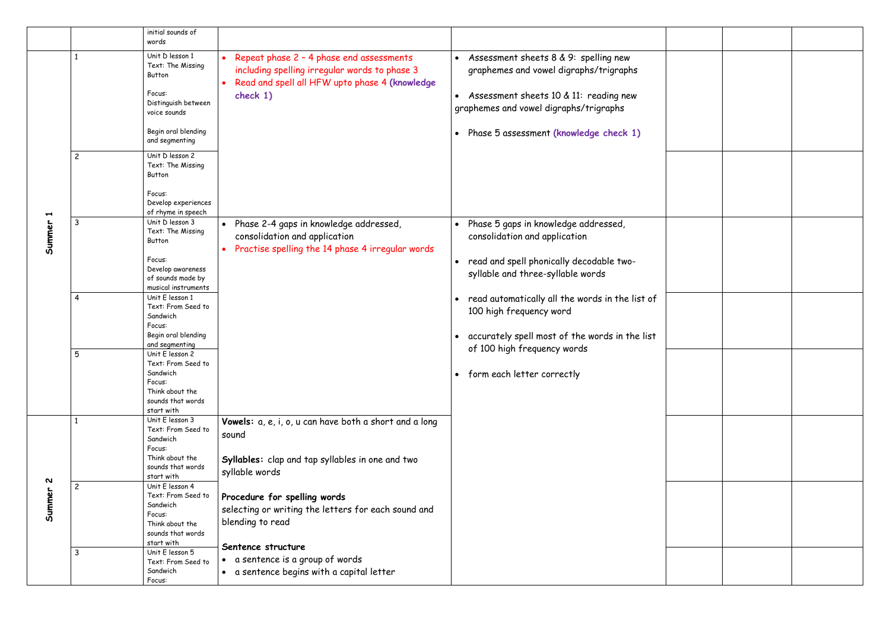|                                 |                | initial sounds of<br>words                                                                                                               |                                                                                                                                                         |                                                                                                                                                                                                                                                                                                     |  |
|---------------------------------|----------------|------------------------------------------------------------------------------------------------------------------------------------------|---------------------------------------------------------------------------------------------------------------------------------------------------------|-----------------------------------------------------------------------------------------------------------------------------------------------------------------------------------------------------------------------------------------------------------------------------------------------------|--|
| $\blacktriangleright$<br>Summer |                | Unit D lesson 1<br>Text: The Missing<br>Button<br>Focus:<br>Distinguish between<br>voice sounds<br>Begin oral blending<br>and segmenting | Repeat phase 2 - 4 phase end assessments<br>including spelling irregular words to phase 3<br>Read and spell all HFW upto phase 4 (knowledge<br>check 1) | Assessment sheets 8 & 9: spelling new<br>$\bullet$<br>graphemes and vowel digraphs/trigraphs<br>Assessment sheets 10 & 11: reading new<br>$\bullet$<br>graphemes and vowel digraphs/trigraphs<br>Phase 5 assessment (knowledge check 1)                                                             |  |
|                                 | $\overline{c}$ | Unit D lesson 2<br>Text: The Missing<br>Button<br>Focus:<br>Develop experiences<br>of rhyme in speech                                    |                                                                                                                                                         |                                                                                                                                                                                                                                                                                                     |  |
|                                 | 3              | Unit D lesson 3<br>Text: The Missing<br>Button<br>Focus:<br>Develop awareness<br>of sounds made by<br>musical instruments                | Phase 2-4 gaps in knowledge addressed,<br>$\bullet$<br>consolidation and application<br>Practise spelling the 14 phase 4 irregular words                | Phase 5 gaps in knowledge addressed,<br>consolidation and application<br>read and spell phonically decodable two-<br>$\bullet$<br>syllable and three-syllable words<br>read automatically all the words in the list of<br>100 high frequency word<br>accurately spell most of the words in the list |  |
|                                 | 4              | Unit E lesson 1<br>Text: From Seed to<br>Sandwich<br>Focus:<br>Begin oral blending<br>and segmenting                                     |                                                                                                                                                         |                                                                                                                                                                                                                                                                                                     |  |
|                                 | 5              | Unit E lesson 2<br>Text: From Seed to<br>Sandwich<br>Focus:<br>Think about the<br>sounds that words<br>start with                        |                                                                                                                                                         | of 100 high frequency words<br>• form each letter correctly                                                                                                                                                                                                                                         |  |
| N<br>Summer                     |                | Unit E lesson 3<br>Text: From Seed to<br>Sandwich<br>Focus:<br>Think about the<br>sounds that words<br>start with                        | Vowels: a, e, i, o, u can have both a short and a long<br>sound<br>Syllables: clap and tap syllables in one and two<br>syllable words                   |                                                                                                                                                                                                                                                                                                     |  |
|                                 | $\overline{c}$ | Unit E lesson 4<br>Text: From Seed to<br>Sandwich<br>Focus:<br>Think about the<br>sounds that words<br>start with                        | Procedure for spelling words<br>selecting or writing the letters for each sound and<br>blending to read                                                 |                                                                                                                                                                                                                                                                                                     |  |
|                                 | 3              | Unit E lesson 5<br>Text: From Seed to<br>Sandwich<br>Focus:                                                                              | Sentence structure<br>• a sentence is a group of words<br>• a sentence begins with a capital letter                                                     |                                                                                                                                                                                                                                                                                                     |  |